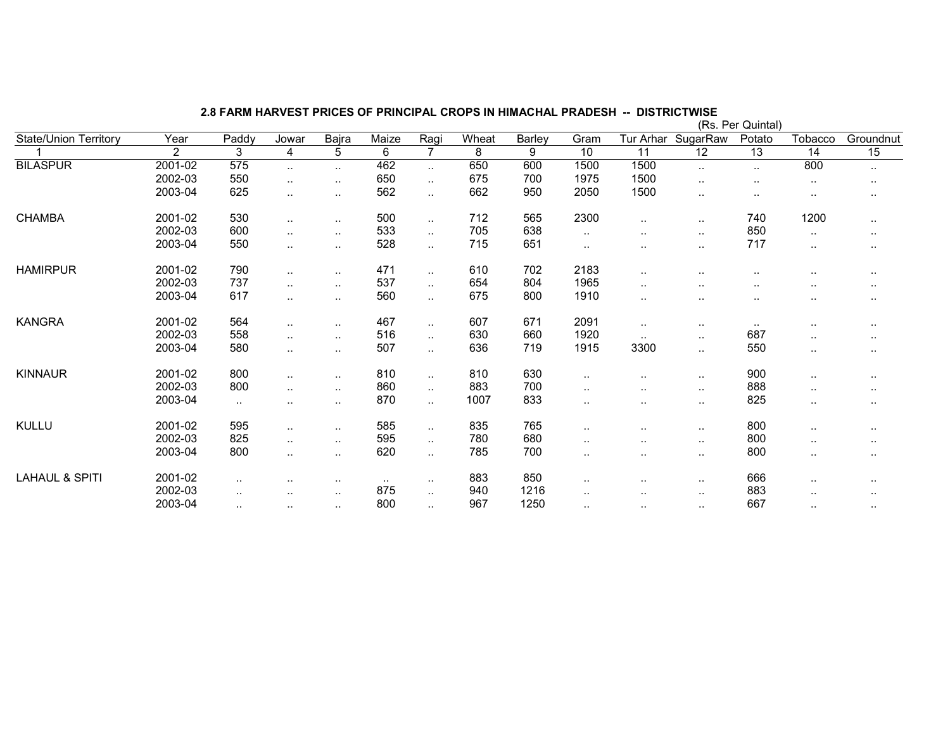|                              |                |        |                      |                      |                |                      |                |                |        |                      |                      | (Rs. Per Quintal) |                 |           |
|------------------------------|----------------|--------|----------------------|----------------------|----------------|----------------------|----------------|----------------|--------|----------------------|----------------------|-------------------|-----------------|-----------|
| <b>State/Union Territory</b> | Year           | Paddy  | Jowar                | Bajra                | Maize          | Ragi                 | Wheat          | Barley         | Gram   | Tur Arhar            | SugarRaw             | Potato            | Tobacco         | Groundnut |
|                              | $\overline{2}$ | 3      | $\overline{4}$       | $\overline{5}$       | $\overline{6}$ | $\overline{7}$       | $\overline{8}$ | $\overline{9}$ | 10     | $\overline{11}$      | $\overline{12}$      | $\overline{13}$   | $\overline{14}$ | 15        |
| <b>BILASPUR</b>              | 2001-02        | 575    | $\ddotsc$            | $\ddotsc$            | 462            | $\ddotsc$            | 650            | 600            | 1500   | 1500                 | $\cdot$ .            | $\ddotsc$         | 800             | $\cdot$ . |
|                              | 2002-03        | 550    | $\sim$               | $\sim$               | 650            | $\ddot{\phantom{a}}$ | 675            | 700            | 1975   | 1500                 | $\ddotsc$            | $\cdot$ .         | $\sim$          | $\cdots$  |
|                              | 2003-04        | 625    | $\ldots$             | $\ddotsc$            | 562            | $\sim$               | 662            | 950            | 2050   | 1500                 | $\cdot$ .            | $\sim$            |                 | $\cdots$  |
| <b>CHAMBA</b>                | 2001-02        | 530    | $\ldots$             | $\sim$ $\sim$        | 500            | $\ddotsc$            | 712            | 565            | 2300   | $\ddotsc$            | $\sim$ $\sim$        | 740               | 1200            | $\cdot$ . |
|                              | 2002-03        | 600    | $\sim$               | $\sim$               | 533            | $\sim$               | 705            | 638            | $\sim$ | $\ddot{\phantom{a}}$ | $\sim$               | 850               | $\cdot$ .       | $\cdot$ . |
|                              | 2003-04        | 550    | $\ddot{\phantom{a}}$ | $\ddotsc$            | 528            | $\ddotsc$            | 715            | 651            | $\sim$ | $\ddotsc$            | $\ddotsc$            | 717               | $\ddotsc$       | $\cdot$ . |
| <b>HAMIRPUR</b>              | 2001-02        | 790    | $\ddotsc$            | $\ddot{\phantom{a}}$ | 471            | $\ddotsc$            | 610            | 702            | 2183   | $\ddot{\phantom{a}}$ | $\cdot$ .            |                   |                 | $\cdots$  |
|                              | 2002-03        | 737    | $\ddotsc$            | $\ddotsc$            | 537            | $\ddotsc$            | 654            | 804            | 1965   |                      | $\ddot{\phantom{0}}$ |                   |                 | $\cdots$  |
|                              | 2003-04        | 617    | $\ddotsc$            | $\sim$               | 560            | $\ddotsc$            | 675            | 800            | 1910   | $\cdot$ .            | $\ddot{\phantom{0}}$ |                   |                 | $\cdots$  |
| <b>KANGRA</b>                | 2001-02        | 564    | $\ldots$             | $\ddotsc$            | 467            | $\ddotsc$            | 607            | 671            | 2091   | $\sim$               | $\sim$               | $\sim$            |                 | $\sim$    |
|                              | 2002-03        | 558    | $\sim$ $\sim$        | $\ldots$             | 516            | $\ddotsc$            | 630            | 660            | 1920   | $\sim$               | $\sim$               | 687               | $\cdot$ .       | $\sim$    |
|                              | 2003-04        | 580    | $\ddotsc$            | $\ddotsc$            | 507            | $\sim$               | 636            | 719            | 1915   | 3300                 | $\cdot$ .            | 550               | $\cdot$ .       | $\cdot$ . |
| <b>KINNAUR</b>               | 2001-02        | 800    | $\sim$               | $\sim$ $\sim$        | 810            | $\ddotsc$            | 810            | 630            | ٠.     | . .                  | $\sim$               | 900               | $\sim$          | $\sim$    |
|                              | 2002-03        | 800    | $\ldots$             | $\ddotsc$            | 860            | $\sim$               | 883            | 700            | $\sim$ | $\ddotsc$            | $\sim$ $\sim$        | 888               |                 | $\cdots$  |
|                              | 2003-04        | $\sim$ | $\sim$ $\sim$        | $\sim$               | 870            | $\sim$               | 1007           | 833            | $\sim$ | $\sim$ $\sim$        | $\sim$               | 825               | $\sim$          | $\cdots$  |
| <b>KULLU</b>                 | 2001-02        | 595    | $\ldots$             | $\cdot$ .            | 585            | $\sim$               | 835            | 765            | ٠.     |                      | $\sim$               | 800               | $\sim$          | $\sim$    |
|                              | 2002-03        | 825    | $\ddotsc$            | $\sim$ $\sim$        | 595            | $\sim$               | 780            | 680            | $\sim$ | $\ddotsc$            | $\sim$               | 800               | $\sim$          | $\cdots$  |
|                              | 2003-04        | 800    | $\ldots$             | $\sim$               | 620            | $\sim$               | 785            | 700            | $\sim$ | $\sim$ $\sim$        | $\sim$               | 800               | $\cdot$ .       | $\cdot$ . |
| <b>LAHAUL &amp; SPITI</b>    | 2001-02        |        | $\cdot$ .            | $\sim$               | $\sim$ $\sim$  | $\cdot$ .            | 883            | 850            | . .    | $\sim$               | $\sim$               | 666               |                 | $\sim$    |
|                              | 2002-03        |        | $\ddotsc$            | $\sim$               | 875            | $\sim$               | 940            | 1216           |        |                      | $\sim$               | 883               | $\sim$          | $\cdots$  |
|                              | 2003-04        | $\sim$ | $\sim$ $\sim$        | $\ldots$             | 800            | $\sim$               | 967            | 1250           | $\sim$ | $\sim$ $\sim$        | $\ddotsc$            | 667               | $\sim$          | $\cdots$  |

2.8 FARM HARVEST PRICES OF PRINCIPAL CROPS IN HIMACHAL PRADESH -- DISTRICTWISE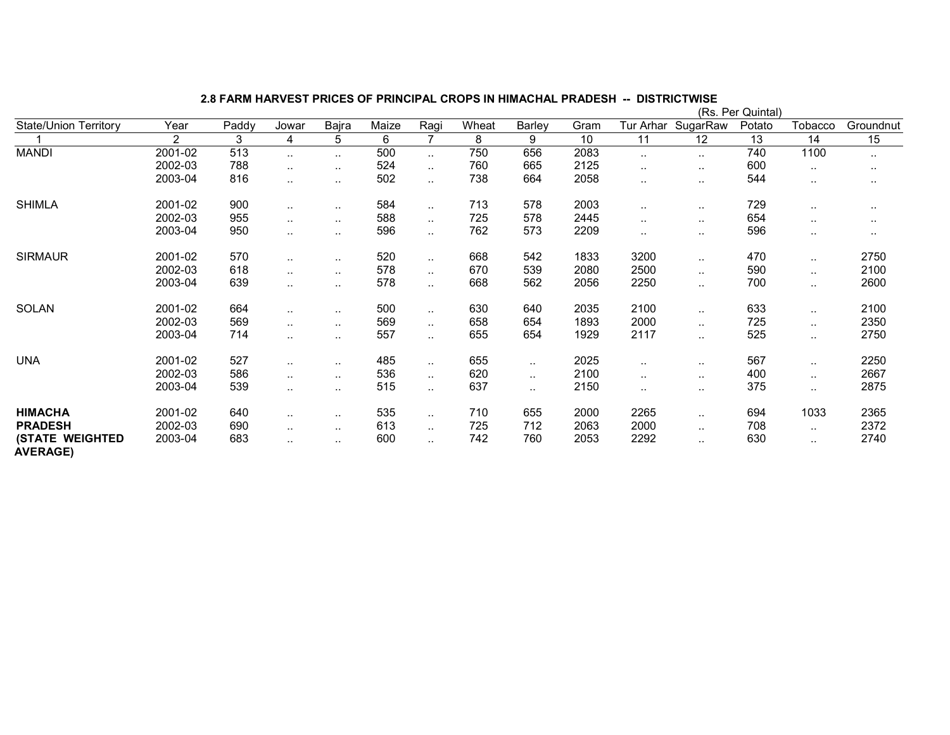|                                           |                |       |               |               |       |                |       |        |      |                  | (Rs.     | Per Quintal) |               |               |
|-------------------------------------------|----------------|-------|---------------|---------------|-------|----------------|-------|--------|------|------------------|----------|--------------|---------------|---------------|
| <b>State/Union Territory</b>              | Year           | Paddy | Jowar         | Bajra         | Maize | Ragi           | Wheat | Barley | Gram | <b>Tur Arhar</b> | SugarRaw | Potato       | Tobacco       | Groundnut     |
|                                           | $\overline{2}$ | 3     | 4             | 5             | 6     | $\overline{7}$ | 8     | 9      | 10   | 11               | 12       | 13           | 14            | 15            |
| <b>MANDI</b>                              | 2001-02        | 513   | $\sim$        | $\sim$ $\sim$ | 500   | $\ldots$       | 750   | 656    | 2083 | $\sim$           | $\sim$   | 740          | 1100          | $\sim$ $\sim$ |
|                                           | 2002-03        | 788   | $\ddotsc$     | $\sim$        | 524   | $\ldots$       | 760   | 665    | 2125 |                  |          | 600          | $\sim$        | $\cdot$ .     |
|                                           | 2003-04        | 816   |               | $\sim$        | 502   | $\ddotsc$      | 738   | 664    | 2058 | $\sim$           | $\sim$   | 544          | $\sim$        | $\sim$        |
| <b>SHIMLA</b>                             | 2001-02        | 900   | $\sim$        | $\sim$ $\sim$ | 584   | $\sim$         | 713   | 578    | 2003 | $\sim$           | $\sim$   | 729          | $\sim$        | $\cdots$      |
|                                           | 2002-03        | 955   | $\ddotsc$     | $\sim$ $\sim$ | 588   | $\ldots$       | 725   | 578    | 2445 |                  | $\sim$   | 654          | $\sim$ $\sim$ | $\cdots$      |
|                                           | 2003-04        | 950   | $\ddotsc$     | $\sim$ $\sim$ | 596   | $\ddotsc$      | 762   | 573    | 2209 |                  | $\sim$   | 596          | $\sim$        | $\sim$        |
| <b>SIRMAUR</b>                            | 2001-02        | 570   | $\sim$ $\sim$ | $\sim$ $\sim$ | 520   | $\sim$         | 668   | 542    | 1833 | 3200             |          | 470          | $\ddotsc$     | 2750          |
|                                           | 2002-03        | 618   |               | $\cdot$ .     | 578   | $\sim$         | 670   | 539    | 2080 | 2500             | $\sim$   | 590          | $\cdot$ .     | 2100          |
|                                           | 2003-04        | 639   |               | $\ddotsc$     | 578   | $\ldots$       | 668   | 562    | 2056 | 2250             | $\sim$   | 700          | $\sim$        | 2600          |
| SOLAN                                     | 2001-02        | 664   | $\sim$        | $\sim$ $\sim$ | 500   | $\sim$         | 630   | 640    | 2035 | 2100             | $\sim$   | 633          | $\cdot$ .     | 2100          |
|                                           | 2002-03        | 569   | $\ddotsc$     | $\ddotsc$     | 569   | $\ddotsc$      | 658   | 654    | 1893 | 2000             |          | 725          | $\ldots$      | 2350          |
|                                           | 2003-04        | 714   |               | $\sim$        | 557   | $\ddotsc$      | 655   | 654    | 1929 | 2117             |          | 525          | $\ddotsc$     | 2750          |
| <b>UNA</b>                                | 2001-02        | 527   | $\sim$        | $\sim$ $\sim$ | 485   | $\sim$         | 655   | $\sim$ | 2025 | $\sim$           | $\sim$   | 567          | $\cdot$ .     | 2250          |
|                                           | 2002-03        | 586   |               | $\cdot$ .     | 536   | $\sim$         | 620   |        | 2100 | $\sim$           | $\sim$   | 400          | $\cdot$ .     | 2667          |
|                                           | 2003-04        | 539   |               | $\sim$        | 515   | $\ddotsc$      | 637   |        | 2150 | $\cdot$ .        | $\sim$   | 375          | $\ldots$      | 2875          |
| <b>HIMACHA</b>                            | 2001-02        | 640   | $\sim$ $\sim$ | $\sim$        | 535   | $\ldots$       | 710   | 655    | 2000 | 2265             | $\sim$   | 694          | 1033          | 2365          |
| <b>PRADESH</b>                            | 2002-03        | 690   | $\sim$        | $\cdot$ .     | 613   | $\sim$         | 725   | 712    | 2063 | 2000             | $\sim$   | 708          | $\cdot$ .     | 2372          |
| <b>(STATE WEIGHTED</b><br><b>AVERAGE)</b> | 2003-04        | 683   | $\sim$        | $\sim$        | 600   | $\sim$         | 742   | 760    | 2053 | 2292             | $\sim$   | 630          | $\sim$        | 2740          |

2.8 FARM HARVEST PRICES OF PRINCIPAL CROPS IN HIMACHAL PRADESH -- DISTRICTWISE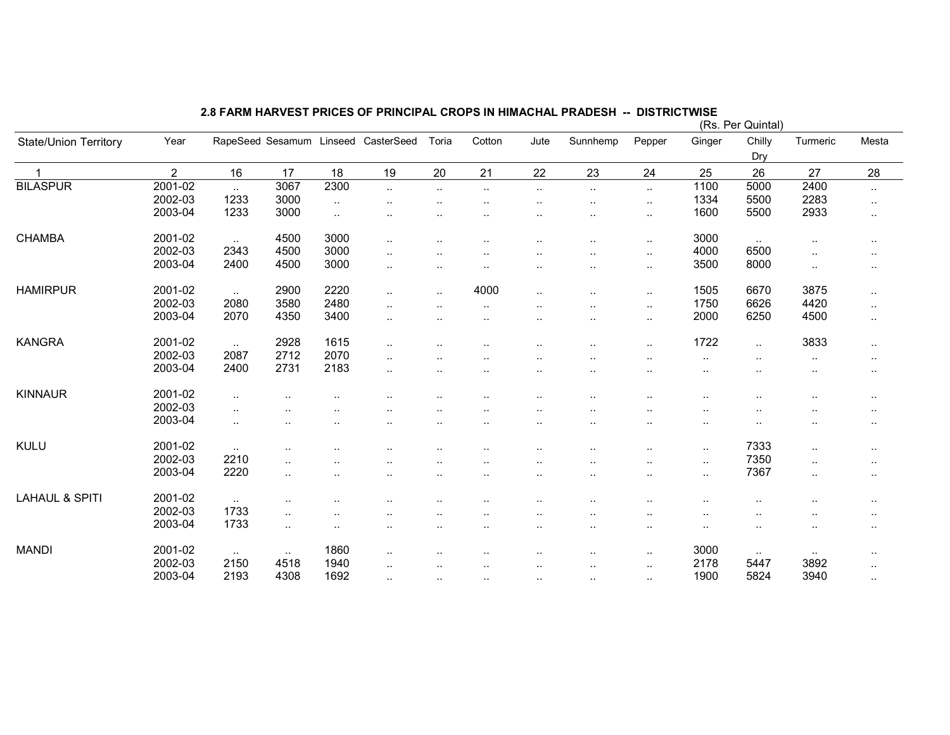|                              |                |           |                          |           |                      |                      |                      |                          |                      |                             |                      | (Rs. Per Quintal) |           |                      |
|------------------------------|----------------|-----------|--------------------------|-----------|----------------------|----------------------|----------------------|--------------------------|----------------------|-----------------------------|----------------------|-------------------|-----------|----------------------|
| <b>State/Union Territory</b> | Year           |           | RapeSeed Sesamum Linseed |           | CasterSeed           | Toria                | Cotton               | Jute                     | Sunnhemp             | Pepper                      | Ginger               | Chilly            | Turmeric  | Mesta                |
|                              |                |           |                          |           |                      |                      |                      |                          |                      |                             |                      | Dry               |           |                      |
|                              | $\overline{2}$ | 16        | 17                       | 18        | 19                   | 20                   | 21                   | 22                       | 23                   | 24                          | 25                   | 26                | 27        | 28                   |
| <b>BILASPUR</b>              | 2001-02        | $\ddotsc$ | 3067                     | 2300      | $\ddotsc$            | $\sim$               | $\cdot$ .            | $\cdot$ .                | $\ldots$             | $\mathcal{L}_{\mathcal{A}}$ | 1100                 | 5000              | 2400      | $\sim$               |
|                              | 2002-03        | 1233      | 3000                     | $\sim$    | $\sim$               | $\ddotsc$            | $\cdot$ .            | $\ddot{\phantom{a}}$     | $\cdot$ .            | $\cdot$ .                   | 1334                 | 5500              | 2283      | $\sim$ $\sim$        |
|                              | 2003-04        | 1233      | 3000                     | $\ddotsc$ |                      |                      |                      |                          |                      | $\ddotsc$                   | 1600                 | 5500              | 2933      | $\sim$               |
| <b>CHAMBA</b>                | 2001-02        | $\cdot$ . | 4500                     | 3000      | ٠.                   | $\ddotsc$            |                      |                          | $\ddot{\phantom{a}}$ | $\cdot$ .                   | 3000                 | $\sim$            | $\cdot$ . | $\sim$               |
|                              | 2002-03        | 2343      | 4500                     | 3000      | $\ddot{\phantom{a}}$ |                      |                      |                          |                      | $\ddotsc$                   | 4000                 | 6500              | $\ddotsc$ | $\sim$ $\sim$        |
|                              | 2003-04        | 2400      | 4500                     | 3000      | ٠.                   | $\sim$               | $\cdot$ .            | $\sim$                   | $\cdot$ .            | $\cdot$ .                   | 3500                 | 8000              | $\cdot$ . | $\sim$ $\sim$        |
| <b>HAMIRPUR</b>              | 2001-02        | $\sim$    | 2900                     | 2220      | $\ddotsc$            | $\sim$               | 4000                 | $\ddot{\phantom{a}}$     | $\cdot$ .            | $\cdot$ .                   | 1505                 | 6670              | 3875      | $\sim$               |
|                              | 2002-03        | 2080      | 3580                     | 2480      | ٠.                   | $\sim$               | $\cdot$ .            |                          |                      | $\cdot$ .                   | 1750                 | 6626              | 4420      | $\sim$               |
|                              | 2003-04        | 2070      | 4350                     | 3400      | ٠.                   | $\sim$               | $\cdot$ .            | $\cdot$ .                | $\ddot{\phantom{a}}$ | $\cdot$ .                   | 2000                 | 6250              | 4500      | $\sim$               |
| <b>KANGRA</b>                | 2001-02        | $\cdot$ . | 2928                     | 1615      | ٠.                   |                      | $\ddot{\phantom{0}}$ | $\ddot{\phantom{a}}$     | $\cdot$ .            | $\ddot{\phantom{a}}$        | 1722                 | $\ddotsc$         | 3833      | $\sim$               |
|                              | 2002-03        | 2087      | 2712                     | 2070      |                      | $\ddot{\phantom{0}}$ |                      |                          |                      |                             |                      |                   | $\cdot$ . | $\sim$               |
|                              | 2003-04        | 2400      | 2731                     | 2183      |                      | $\ddotsc$            | $\ddotsc$            | $\ddot{\phantom{a}}$     |                      |                             | $\cdot$ .            |                   | ٠.        | $\sim$               |
| <b>KINNAUR</b>               | 2001-02        | ٠.        |                          |           |                      |                      |                      |                          |                      |                             |                      |                   |           | $\sim$ $\sim$        |
|                              | 2002-03        | $\ddotsc$ |                          |           |                      | $\ddot{\phantom{a}}$ |                      |                          |                      |                             |                      |                   |           | $\sim$ $\sim$        |
|                              | 2003-04        | $\cdot$ . |                          |           |                      | $\ddot{\phantom{0}}$ |                      | $\ddot{\phantom{a}}$<br> |                      |                             | $\cdot$ .            | ٠.                |           | $\sim$               |
| KULU                         | 2001-02        |           |                          |           |                      |                      |                      |                          |                      |                             |                      | 7333              |           |                      |
|                              | 2002-03        | 2210      | $\cdot$ .                |           |                      |                      |                      |                          | $\cdot$ .            | $\cdot$ .                   | $\sim$               | 7350              | $\ddotsc$ | $\ddotsc$            |
|                              | 2003-04        | 2220      | $\cdot$ .                |           |                      |                      |                      |                          |                      |                             | $\ddot{\phantom{1}}$ | 7367              | $\ddotsc$ | $\sim$ $\sim$        |
|                              |                |           | ٠.                       |           | ٠.                   | $\ddotsc$            | $\ddotsc$            |                          |                      |                             | $\ddotsc$            |                   | $\ldots$  | $\sim$               |
| <b>LAHAUL &amp; SPITI</b>    | 2001-02        | $\cdot$ . | $\cdot$ .                |           |                      |                      |                      |                          |                      |                             |                      |                   |           | $\ddot{\phantom{a}}$ |
|                              | 2002-03        | 1733      | $\ddotsc$                |           |                      |                      |                      |                          |                      | $\ddot{\phantom{a}}$        |                      |                   |           | $\sim$               |
|                              | 2003-04        | 1733      | $\ddotsc$                | $\ddotsc$ | ٠.                   | $\ddotsc$            | $\ddotsc$            | $\cdot$ .                | $\ddot{\phantom{a}}$ |                             | $\sim$               | $\ddotsc$         | ٠.        | $\sim$               |
| <b>MANDI</b>                 | 2001-02        | $\cdot$ . | $\sim$                   | 1860      |                      |                      |                      |                          |                      | $\cdot$ .                   | 3000                 | $\sim$            | $\sim$    | $\sim$ $\sim$        |
|                              | 2002-03        | 2150      | 4518                     | 1940      | ٠.                   | $\ddotsc$            | $\ddotsc$            | $\cdot$ .                | $\cdot$ .            | $\sim$                      | 2178                 | 5447              | 3892      | $\sim$               |
|                              | 2003-04        | 2193      | 4308                     | 1692      | $\ddot{\phantom{a}}$ | $\ddot{\phantom{a}}$ | $\ddot{\phantom{a}}$ | $\cdot$ .                | $\ddot{\phantom{a}}$ | $\cdot$ .                   | 1900                 | 5824              | 3940      | $\sim$               |
|                              |                |           |                          |           |                      |                      |                      |                          |                      |                             |                      |                   |           |                      |

## 2.8 FARM HARVEST PRICES OF PRINCIPAL CROPS IN HIMACHAL PRADESH -- DISTRICTWISE